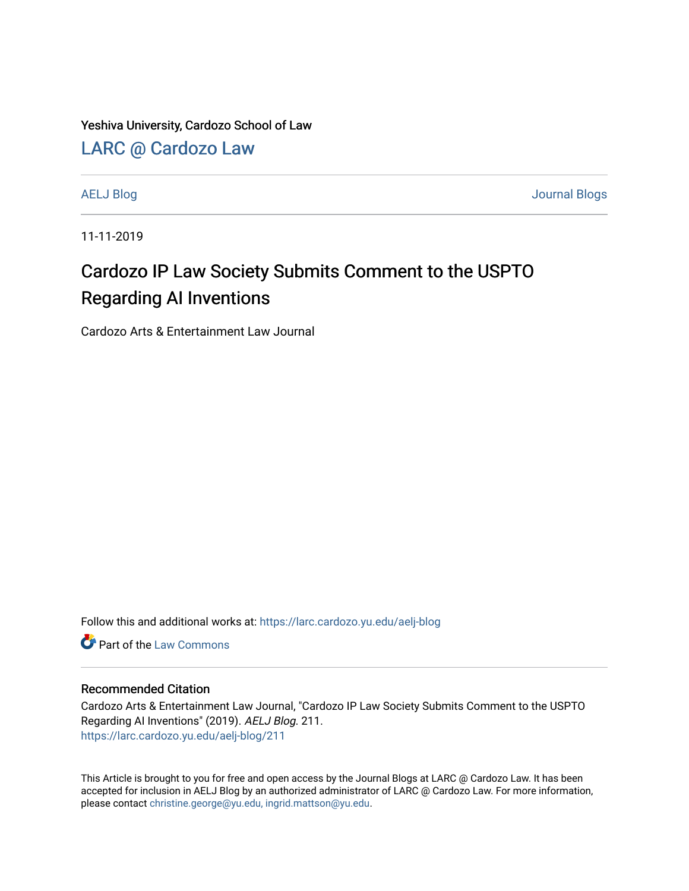Yeshiva University, Cardozo School of Law

[LARC @ Cardozo Law](https://larc.cardozo.yu.edu/)

[AELJ Blog](https://larc.cardozo.yu.edu/aelj-blog) [Journal Blogs](https://larc.cardozo.yu.edu/journal-blogs) 

11-11-2019

## Cardozo IP Law Society Submits Comment to the USPTO Regarding AI Inventions

Cardozo Arts & Entertainment Law Journal

Follow this and additional works at: [https://larc.cardozo.yu.edu/aelj-blog](https://larc.cardozo.yu.edu/aelj-blog?utm_source=larc.cardozo.yu.edu%2Faelj-blog%2F211&utm_medium=PDF&utm_campaign=PDFCoverPages) 

**C** Part of the [Law Commons](http://network.bepress.com/hgg/discipline/578?utm_source=larc.cardozo.yu.edu%2Faelj-blog%2F211&utm_medium=PDF&utm_campaign=PDFCoverPages)

#### Recommended Citation

Cardozo Arts & Entertainment Law Journal, "Cardozo IP Law Society Submits Comment to the USPTO Regarding AI Inventions" (2019). AELJ Blog. 211. [https://larc.cardozo.yu.edu/aelj-blog/211](https://larc.cardozo.yu.edu/aelj-blog/211?utm_source=larc.cardozo.yu.edu%2Faelj-blog%2F211&utm_medium=PDF&utm_campaign=PDFCoverPages) 

This Article is brought to you for free and open access by the Journal Blogs at LARC @ Cardozo Law. It has been accepted for inclusion in AELJ Blog by an authorized administrator of LARC @ Cardozo Law. For more information, please contact [christine.george@yu.edu, ingrid.mattson@yu.edu.](mailto:christine.george@yu.edu,%20ingrid.mattson@yu.edu)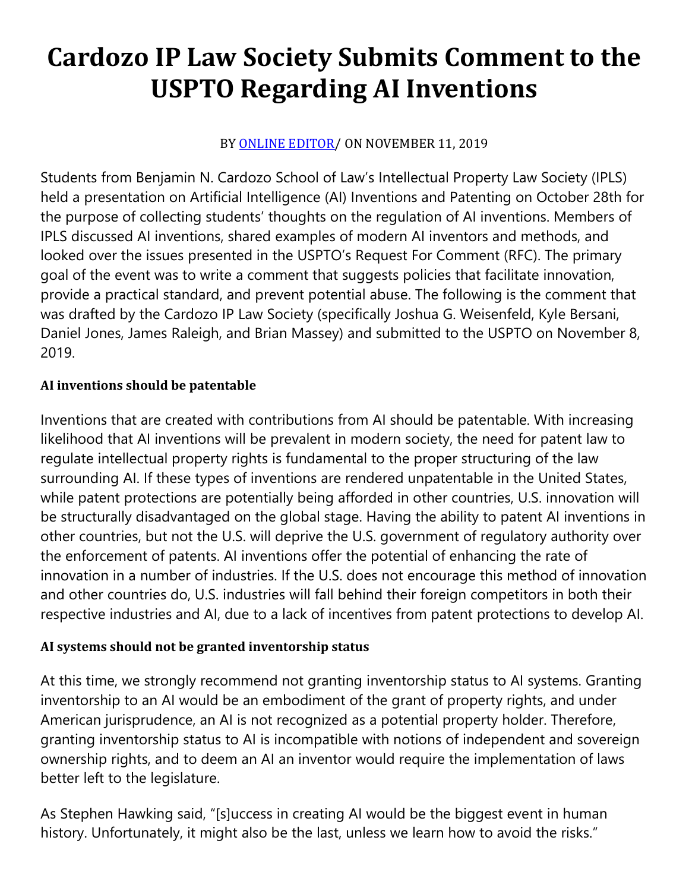# **Cardozo IP Law Society Submits Comment to the USPTO Regarding AI Inventions**

### BY [ONLINE EDITOR/](https://cardozoaelj.com/author/online-editor/) ON NOVEMBER 11, 2019

Students from Benjamin N. Cardozo School of Law's Intellectual Property Law Society (IPLS) held a presentation on Artificial Intelligence (AI) Inventions and Patenting on October 28th for the purpose of collecting students' thoughts on the regulation of AI inventions. Members of IPLS discussed AI inventions, shared examples of modern AI inventors and methods, and looked over the issues presented in the USPTO's Request For Comment (RFC). The primary goal of the event was to write a comment that suggests policies that facilitate innovation, provide a practical standard, and prevent potential abuse. The following is the comment that was drafted by the Cardozo IP Law Society (specifically Joshua G. Weisenfeld, Kyle Bersani, Daniel Jones, James Raleigh, and Brian Massey) and submitted to the USPTO on November 8, 2019.

#### **AI inventions should be patentable**

Inventions that are created with contributions from AI should be patentable. With increasing likelihood that AI inventions will be prevalent in modern society, the need for patent law to regulate intellectual property rights is fundamental to the proper structuring of the law surrounding AI. If these types of inventions are rendered unpatentable in the United States, while patent protections are potentially being afforded in other countries, U.S. innovation will be structurally disadvantaged on the global stage. Having the ability to patent AI inventions in other countries, but not the U.S. will deprive the U.S. government of regulatory authority over the enforcement of patents. AI inventions offer the potential of enhancing the rate of innovation in a number of industries. If the U.S. does not encourage this method of innovation and other countries do, U.S. industries will fall behind their foreign competitors in both their respective industries and AI, due to a lack of incentives from patent protections to develop AI.

#### **AI systems should not be granted inventorship status**

At this time, we strongly recommend not granting inventorship status to AI systems. Granting inventorship to an AI would be an embodiment of the grant of property rights, and under American jurisprudence, an AI is not recognized as a potential property holder. Therefore, granting inventorship status to AI is incompatible with notions of independent and sovereign ownership rights, and to deem an AI an inventor would require the implementation of laws better left to the legislature.

As Stephen Hawking said, "[s]uccess in creating AI would be the biggest event in human history. Unfortunately, it might also be the last, unless we learn how to avoid the risks."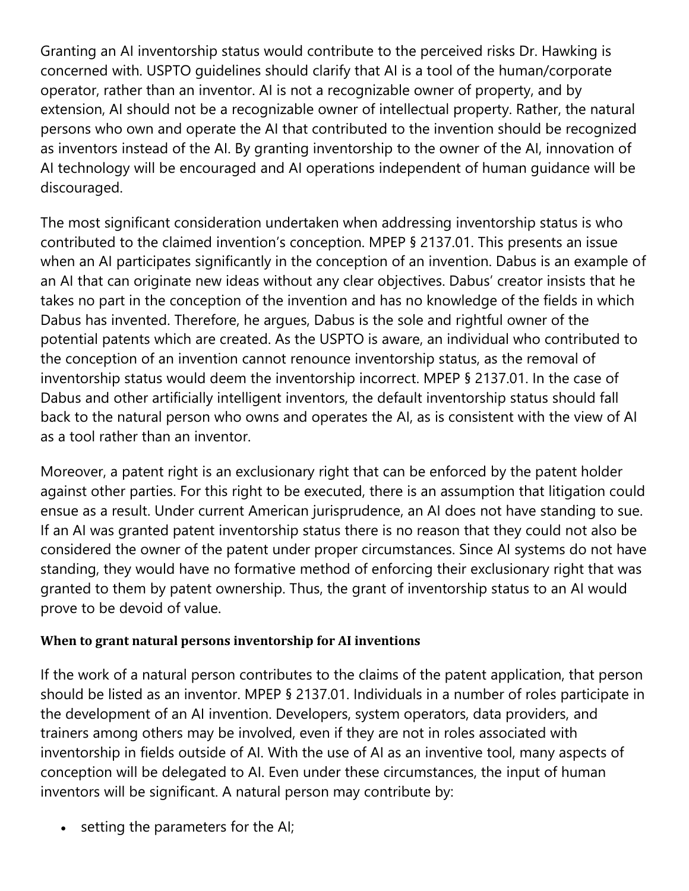Granting an AI inventorship status would contribute to the perceived risks Dr. Hawking is concerned with. USPTO guidelines should clarify that AI is a tool of the human/corporate operator, rather than an inventor. AI is not a recognizable owner of property, and by extension, AI should not be a recognizable owner of intellectual property. Rather, the natural persons who own and operate the AI that contributed to the invention should be recognized as inventors instead of the AI. By granting inventorship to the owner of the AI, innovation of AI technology will be encouraged and AI operations independent of human guidance will be discouraged.

The most significant consideration undertaken when addressing inventorship status is who contributed to the claimed invention's conception. MPEP § 2137.01. This presents an issue when an AI participates significantly in the conception of an invention. Dabus is an example of an AI that can originate new ideas without any clear objectives. Dabus' creator insists that he takes no part in the conception of the invention and has no knowledge of the fields in which Dabus has invented. Therefore, he argues, Dabus is the sole and rightful owner of the potential patents which are created. As the USPTO is aware, an individual who contributed to the conception of an invention cannot renounce inventorship status, as the removal of inventorship status would deem the inventorship incorrect. MPEP § 2137.01. In the case of Dabus and other artificially intelligent inventors, the default inventorship status should fall back to the natural person who owns and operates the AI, as is consistent with the view of AI as a tool rather than an inventor.

Moreover, a patent right is an exclusionary right that can be enforced by the patent holder against other parties. For this right to be executed, there is an assumption that litigation could ensue as a result. Under current American jurisprudence, an AI does not have standing to sue. If an AI was granted patent inventorship status there is no reason that they could not also be considered the owner of the patent under proper circumstances. Since AI systems do not have standing, they would have no formative method of enforcing their exclusionary right that was granted to them by patent ownership. Thus, the grant of inventorship status to an AI would prove to be devoid of value.

#### **When to grant natural persons inventorship for AI inventions**

If the work of a natural person contributes to the claims of the patent application, that person should be listed as an inventor. MPEP § 2137.01. Individuals in a number of roles participate in the development of an AI invention. Developers, system operators, data providers, and trainers among others may be involved, even if they are not in roles associated with inventorship in fields outside of AI. With the use of AI as an inventive tool, many aspects of conception will be delegated to AI. Even under these circumstances, the input of human inventors will be significant. A natural person may contribute by:

• setting the parameters for the AI;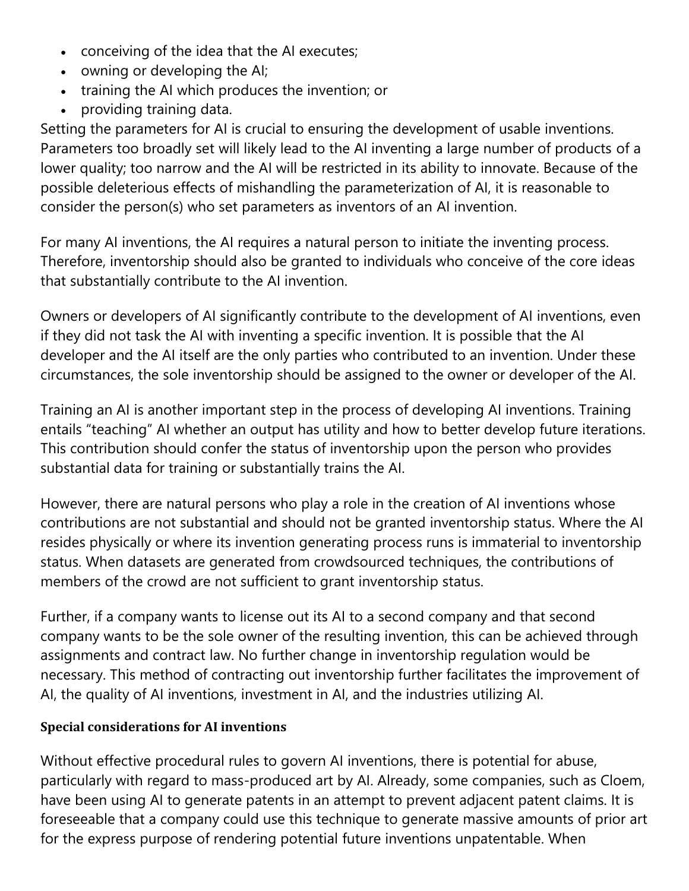- conceiving of the idea that the AI executes;
- owning or developing the AI;
- training the AI which produces the invention; or
- providing training data.

Setting the parameters for AI is crucial to ensuring the development of usable inventions. Parameters too broadly set will likely lead to the AI inventing a large number of products of a lower quality; too narrow and the AI will be restricted in its ability to innovate. Because of the possible deleterious effects of mishandling the parameterization of AI, it is reasonable to consider the person(s) who set parameters as inventors of an AI invention.

For many AI inventions, the AI requires a natural person to initiate the inventing process. Therefore, inventorship should also be granted to individuals who conceive of the core ideas that substantially contribute to the AI invention.

Owners or developers of AI significantly contribute to the development of AI inventions, even if they did not task the AI with inventing a specific invention. It is possible that the AI developer and the AI itself are the only parties who contributed to an invention. Under these circumstances, the sole inventorship should be assigned to the owner or developer of the AI.

Training an AI is another important step in the process of developing AI inventions. Training entails "teaching" AI whether an output has utility and how to better develop future iterations. This contribution should confer the status of inventorship upon the person who provides substantial data for training or substantially trains the AI.

However, there are natural persons who play a role in the creation of AI inventions whose contributions are not substantial and should not be granted inventorship status. Where the AI resides physically or where its invention generating process runs is immaterial to inventorship status. When datasets are generated from crowdsourced techniques, the contributions of members of the crowd are not sufficient to grant inventorship status.

Further, if a company wants to license out its AI to a second company and that second company wants to be the sole owner of the resulting invention, this can be achieved through assignments and contract law. No further change in inventorship regulation would be necessary. This method of contracting out inventorship further facilitates the improvement of AI, the quality of AI inventions, investment in AI, and the industries utilizing AI.

#### **Special considerations for AI inventions**

Without effective procedural rules to govern AI inventions, there is potential for abuse, particularly with regard to mass-produced art by AI. Already, some companies, such as Cloem, have been using AI to generate patents in an attempt to prevent adjacent patent claims. It is foreseeable that a company could use this technique to generate massive amounts of prior art for the express purpose of rendering potential future inventions unpatentable. When